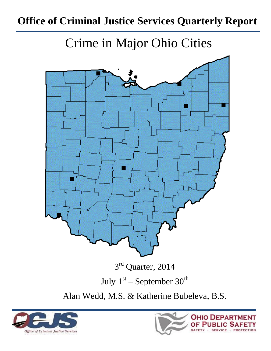# **Office of Criminal Justice Services Quarterly Report**

Crime in Major Ohio Cities



Alan Wedd, M.S. & Katherine Bubeleva, B.S.



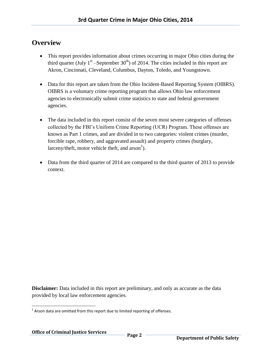### **Overview**

- This report provides information about crimes occurring in major Ohio cities during the third quarter (July  $1^{st}$  –September 30<sup>th</sup>) of 2014. The cities included in this report are Akron, Cincinnati, Cleveland, Columbus, Dayton, Toledo, and Youngstown.
- Data for this report are taken from the Ohio Incident-Based Reporting System (OIBRS). OIBRS is a voluntary crime reporting program that allows Ohio law enforcement agencies to electronically submit crime statistics to state and federal government agencies.
- The data included in this report consist of the seven most severe categories of offenses collected by the FBI's Uniform Crime Reporting (UCR) Program. These offenses are known as Part 1 crimes, and are divided in to two categories: violent crimes (murder, forcible rape, robbery, and aggravated assault) and property crimes (burglary, larceny/theft, motor vehicle theft, and  $arson<sup>1</sup>$ ).
- Data from the third quarter of 2014 are compared to the third quarter of 2013 to provide context.

**Disclaimer:** Data included in this report are preliminary, and only as accurate as the data provided by local law enforcement agencies.

l  $1$  Arson data are omitted from this report due to limited reporting of offenses.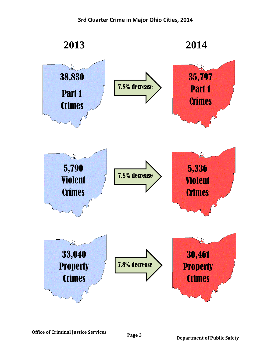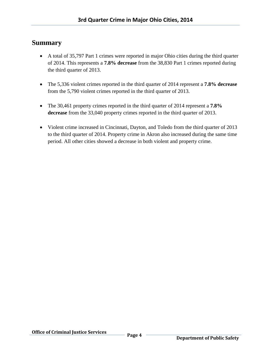#### **Summary**

- A total of 35,797 Part 1 crimes were reported in major Ohio cities during the third quarter of 2014. This represents a **7.8% decrease** from the 38,830 Part 1 crimes reported during the third quarter of 2013.
- The 5,336 violent crimes reported in the third quarter of 2014 represent a **7.8% decrease** from the 5,790 violent crimes reported in the third quarter of 2013.
- The 30,461 property crimes reported in the third quarter of 2014 represent a **7.8% decrease** from the 33,040 property crimes reported in the third quarter of 2013.
- Violent crime increased in Cincinnati, Dayton, and Toledo from the third quarter of 2013 to the third quarter of 2014. Property crime in Akron also increased during the same time period. All other cities showed a decrease in both violent and property crime.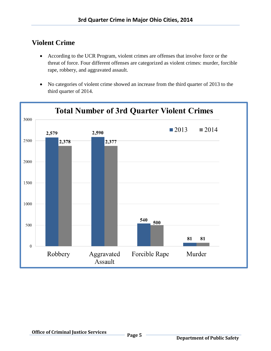## **Violent Crime**

- According to the UCR Program, violent crimes are offenses that involve force or the threat of force. Four different offenses are categorized as violent crimes: murder, forcible rape, robbery, and aggravated assault.
- No categories of violent crime showed an increase from the third quarter of 2013 to the third quarter of 2014.

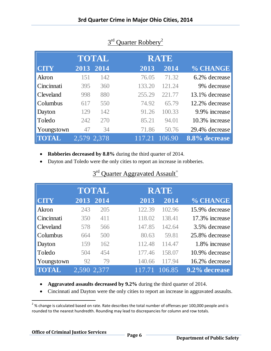|                  |             | <b>TOTAL</b> |        | <b>RATE</b> |                |
|------------------|-------------|--------------|--------|-------------|----------------|
| <b>CITY</b>      |             | 2013 2014    | 2013   | 2014        | % CHANGE       |
| Akron            | 151         | 142          | 76.05  | 71.32       | 6.2% decrease  |
| Cincinnati       | 395         | 360          | 133.20 | 121.24      | 9% decrease    |
| <b>Cleveland</b> | 998         | 880          | 255.29 | 221.77      | 13.1% decrease |
| Columbus         | 617         | 550          | 74.92  | 65.79       | 12.2% decrease |
| Dayton           | 129         | 142          | 91.26  | 100.33      | 9.9% increase  |
| Toledo           | 242         | 270          | 85.21  | 94.01       | 10.3% increase |
| Youngstown       | 47          | 34           | 71.86  | 50.76       | 29.4% decrease |
|                  | 2,579 2,378 |              | 117.21 | 106.90      | 8.8% decrease  |

## 3<sup>rd</sup> Quarter Robbery<sup>2</sup>

- **Robberies decreased by 8.8%** during the third quarter of 2014.
- Dayton and Toledo were the only cities to report an increase in robberies.

|              |       | TOTAL |        | <b>RATE</b> |                |
|--------------|-------|-------|--------|-------------|----------------|
| <b>CITY</b>  | 2013  | 2014  | 2013   | 2014        | % CHANGE       |
| Akron        | 243   | 205   | 122.39 | 102.96      | 15.9% decrease |
| Cincinnati   | 350   | 411   | 118.02 | 138.41      | 17.3% increase |
| Cleveland    | 578   | 566   | 147.85 | 142.64      | 3.5% decrease  |
| Columbus     | 664   | 500   | 80.63  | 59.81       | 25.8% decrease |
| Dayton       | 159   | 162   | 112.48 | 114.47      | 1.8% increase  |
| Toledo       | 504   | 454   | 177.46 | 158.07      | 10.9% decrease |
| Youngstown   | 92    | 79    | 140.66 | 117.94      | 16.2% decrease |
| <b>TOTAL</b> | 2.590 | 2,377 |        | 106.85      | 9.2% decrease  |

## 3<sup>rd</sup> Quarter Aggravated Assault<sup>=</sup>

- **Aggravated assaults decreased by 9.2%** during the third quarter of 2014.
- Cincinnati and Dayton were the only cities to report an increase in aggravated assaults.

 $\overline{\phantom{a}}$ 

 $^{2}$ % change is calculated based on rate. Rate describes the total number of offenses per 100,000 people and is rounded to the nearest hundredth. Rounding may lead to discrepancies for column and row totals.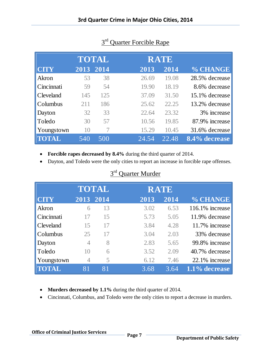|                  |           | TOTAL |       | RATE  |                |
|------------------|-----------|-------|-------|-------|----------------|
| <b>CITY</b>      | 2013 2014 |       | 2013  | 2014  | % CHANGE       |
| Akron            | 53        | 38    | 26.69 | 19.08 | 28.5% decrease |
| Cincinnati       | 59        | 54    | 19.90 | 18.19 | 8.6% decrease  |
| <b>Cleveland</b> | 145       | 125   | 37.09 | 31.50 | 15.1% decrease |
| Columbus         | 211       | 186   | 25.62 | 22.25 | 13.2% decrease |
| Dayton           | 32        | 33    | 22.64 | 23.32 | 3% increase    |
| Toledo           | 30        | 57    | 10.56 | 19.85 | 87.9% increase |
| Youngstown       | 10        |       | 15.29 | 10.45 | 31.6% decrease |
| <b>TOTAL</b>     | 540       | 500   | 24.54 | 22.48 | 8.4% decrease  |

## 3<sup>rd</sup> Quarter Forcible Rape

- **Forcible rapes decreased by 8.4%** during the third quarter of 2014.
- Dayton, and Toledo were the only cities to report an increase in forcible rape offenses.

|              |                | <b>TOTAL</b> |      | <b>RATE</b> |                    |
|--------------|----------------|--------------|------|-------------|--------------------|
| <b>CITY</b>  |                | 2013 2014    | 2013 | 2014        | % CHANGE           |
| Akron        | 6              | 13           | 3.02 | 6.53        | $116.1\%$ increase |
| Cincinnati   | 17             | 15           | 5.73 | 5.05        | 11.9% decrease     |
| Cleveland    | 15             | 17           | 3.84 | 4.28        | 11.7% increase     |
| Columbus     | 25             | 17           | 3.04 | 2.03        | 33% decrease       |
| Dayton       | 4              | 8            | 2.83 | 5.65        | 99.8% increase     |
| Toledo       | 10             | 6            | 3.52 | 2.09        | 40.7% decrease     |
| Youngstown   | $\overline{4}$ | 5            | 6.12 | 7.46        | 22.1% increase     |
| <b>TOTAL</b> | 81             | 81           | 3.68 | 3.64        | 1.1% decrease      |
|              |                |              |      |             |                    |

## 3<sup>rd</sup> Quarter Murder

- **Murders decreased by 1.1%** during the third quarter of 2014.
- Cincinnati, Columbus, and Toledo were the only cities to report a decrease in murders.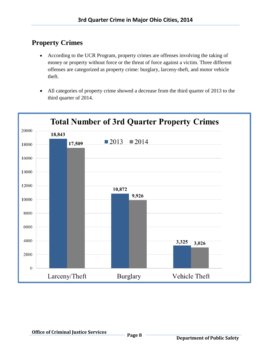## **Property Crimes**

- According to the UCR Program, property crimes are offenses involving the taking of money or property without force or the threat of force against a victim. Three different offenses are categorized as property crime: burglary, larceny-theft, and motor vehicle theft.
- All categories of property crime showed a decrease from the third quarter of 2013 to the third quarter of 2014.

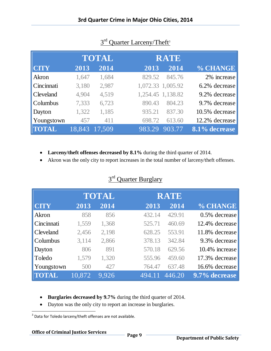|                  | <b>TOTAL</b> |        | <b>RATE</b> |                   |                |
|------------------|--------------|--------|-------------|-------------------|----------------|
| <b>CITY</b>      | 2013         | 2014   | 2013        | 2014              | % CHANGE       |
| Akron            | 1,647        | 1,684  | 829.52      | 845.76            | 2% increase    |
| Cincinnati       | 3,180        | 2,987  |             | 1,072.33 1,005.92 | 6.2% decrease  |
| <b>Cleveland</b> | 4,904        | 4,519  |             | 1,254.45 1,138.82 | 9.2% decrease  |
| Columbus         | 7,333        | 6,723  | 890.43      | 804.23            | 9.7% decrease  |
| Dayton           | 1,322        | 1,185  | 935.21      | 837.30            | 10.5% decrease |
| Youngstown       | 457          | 411    | 698.72      | 613.60            | 12.2% decrease |
| <b>TOTAL</b>     | 18,843       | 17.509 | 983.29      | 903.77            | 8.1% decrease  |

#### 3<sup>rd</sup> Quarter Larceny/Theft<sup>3</sup>

**Larceny/theft offenses decreased by 8.1%** during the third quarter of 2014.

Akron was the only city to report increases in the total number of larceny/theft offenses.

#### 3<sup>rd</sup> Quarter Burglary

|              | <b>TOTAL</b> |       | <b>RATE</b> |        |                |
|--------------|--------------|-------|-------------|--------|----------------|
| <b>CITY</b>  | 2013         | 2014  | 2013        | 2014   | % CHANGE       |
| Akron        | 858          | 856   | 432.14      | 429.91 | 0.5% decrease  |
| Cincinnati   | 1,559        | 1,368 | 525.71      | 460.69 | 12.4% decrease |
| Cleveland    | 2,456        | 2,198 | 628.25      | 553.91 | 11.8% decrease |
| Columbus     | 3,114        | 2,866 | 378.13      | 342.84 | 9.3% decrease  |
| Dayton       | 806          | 891   | 570.18      | 629.56 | 10.4% increase |
| Toledo       | 1,579        | 1,320 | 555.96      | 459.60 | 17.3% decrease |
| Youngstown   | 500          | 427   | 764.47      | 637.48 | 16.6% decrease |
| <b>TOTAL</b> | 10,872       | 9.926 | 494.11      | 446.20 | 9.7% decrease  |

- **Burglaries decreased by 9.7%** during the third quarter of 2014.
- Dayton was the only city to report an increase in burglaries.

3 Data for Toledo larceny/theft offenses are not available.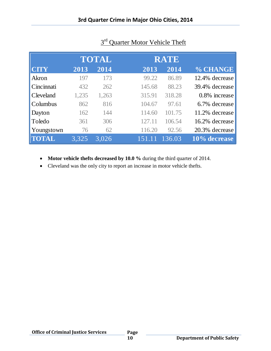|              | <b>TOTAL</b> |       | <b>RATE</b> |        |                |
|--------------|--------------|-------|-------------|--------|----------------|
| <b>CITY</b>  | 2013         | 2014  | 2013        | 2014   | % CHANGE       |
| Akron        | 197          | 173   | 99.22       | 86.89  | 12.4% decrease |
| Cincinnati   | 432          | 262   | 145.68      | 88.23  | 39.4% decrease |
| Cleveland    | 1,235        | 1,263 | 315.91      | 318.28 | 0.8% increase  |
| Columbus     | 862          | 816   | 104.67      | 97.61  | 6.7% decrease  |
| Dayton       | 162          | 144   | 114.60      | 101.75 | 11.2% decrease |
| Toledo       | 361          | 306   | 127.11      | 106.54 | 16.2% decrease |
| Youngstown   | 76           | 62    | 116.20      | 92.56  | 20.3% decrease |
| <b>TOTAL</b> | 3.325        | 3.026 | 151.11      | 136.03 | 10% decrease   |

#### 3<sup>rd</sup> Quarter Motor Vehicle Theft

- **Motor vehicle thefts decreased by 10.0 %** during the third quarter of 2014.
- Cleveland was the only city to report an increase in motor vehicle thefts.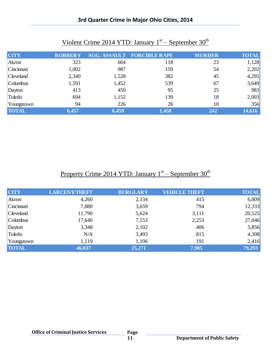| Violent Crime 2014 YTD: January $1st$ – September 30 <sup>th</sup> |                |       |                                   |               |              |  |
|--------------------------------------------------------------------|----------------|-------|-----------------------------------|---------------|--------------|--|
| <b>CITY</b>                                                        | <b>ROBBERY</b> |       | <b>AGG. ASSAULT FORCIBLE RAPE</b> | <b>MURDER</b> | <b>TOTAL</b> |  |
| Akron                                                              | 323            | 664   | 118                               | 23            | 1,128        |  |
| Cincinnati                                                         | 1,002          | 987   | 159                               | 54            | 2,202        |  |
| Cleveland                                                          | 2,340          | 1,528 | 382                               | 45            | 4,295        |  |
| Columbus                                                           | 1,591          | 1,452 | 539                               | 67            | 3,649        |  |
| Dayton                                                             | 413            | 450   | 95                                | 25            | 983          |  |
| Toledo                                                             | 694            | 1,152 | 139                               | 18            | 2,003        |  |

10 10 356<br>
10 356<br>
27 10 356<br>
27 10 356<br>
27 14,616 **TOTAL 6,457 6,459 1,458 242 14,616** 

#### **3rd Quarter Crime in Major Ohio Cities, 2014**

### Property Crime 2014 YTD: January 1<sup>st</sup> – September 30<sup>th</sup>

| <b>CITY</b>      | <b>LARCENY/THEFT</b> | <b>BURGLARY</b> | <b>VEHICLE THEFT</b> | <b>TOTAL</b> |
|------------------|----------------------|-----------------|----------------------|--------------|
| Akron            | 4,260                | 2,134           | 415                  | 6,809        |
| Cincinnati       | 7,880                | 3,659           | 794                  | 12,333       |
| <b>Cleveland</b> | 11,790               | 5,624           | 3,111                | 20,525       |
| Columbus         | 17,640               | 7,153           | 2,253                | 27,046       |
| Dayton           | 3,348                | 2,102           | 406                  | 5,856        |
| Toledo           | N/A                  | 3,493           | 815                  | 4,308        |
| Youngstown       | 1,119                | 1,106           | 191                  | 2,416        |
| <b>TOTAL</b>     | 46,037               | 25,271          | 7,985                | 79,293       |